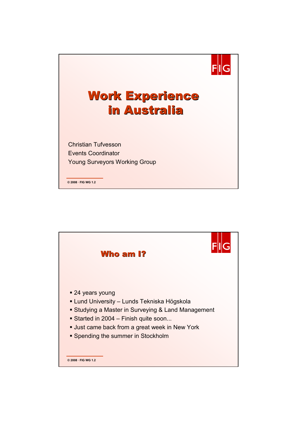

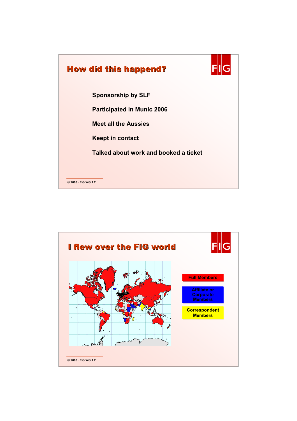

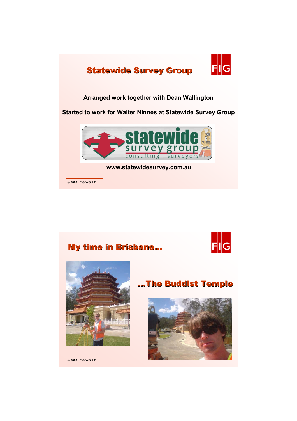

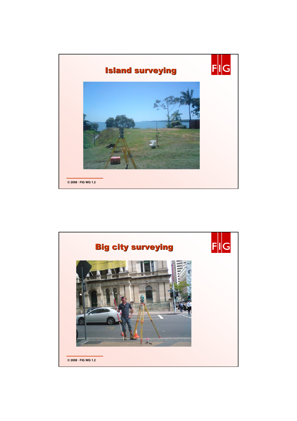

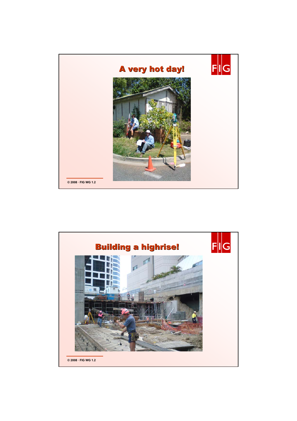

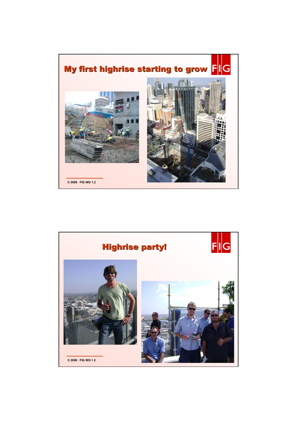